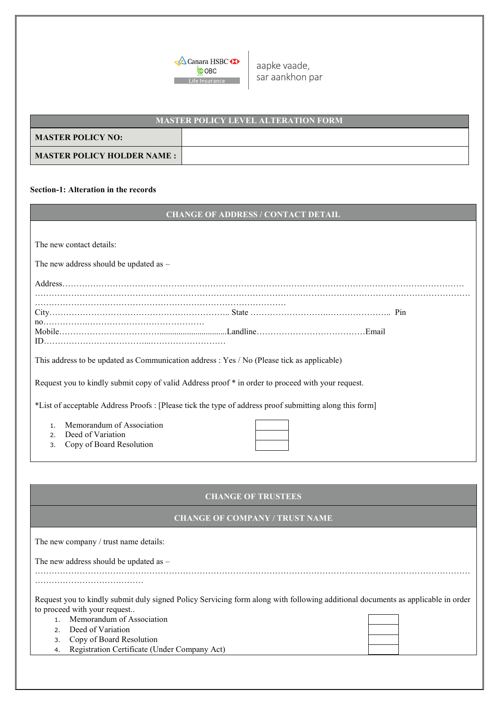

aapke vaade, sar aankhon par

| <b>MASTER POLICY LEVEL ALTERATION FORM</b> |  |  |  |
|--------------------------------------------|--|--|--|
| <b>MASTER POLICY NO:</b>                   |  |  |  |
| MASTER POLICY HOLDER NAME :                |  |  |  |

## **Section-1: Alteration in the records**

| <b>CHANGE OF ADDRESS / CONTACT DETAIL'</b> |
|--------------------------------------------|
|--------------------------------------------|

| The new contact details: |  |  |
|--------------------------|--|--|
|--------------------------|--|--|

The new address should be updated as –

| ID |  |
|----|--|

This address to be updated as Communication address : Yes / No (Please tick as applicable)

Request you to kindly submit copy of valid Address proof \* in order to proceed with your request.

\*List of acceptable Address Proofs : [Please tick the type of address proof submitting along this form]

- 1. Memorandum of Association
- 2. Deed of Variation
- 3. Copy of Board Resolution

| <b>CHANGE OF TRUSTEES</b> |  |  |
|---------------------------|--|--|
|                           |  |  |

## **CHANGE OF COMPANY / TRUST NAME**

| The new company / trust name details:                                                                                                                           |  |  |  |
|-----------------------------------------------------------------------------------------------------------------------------------------------------------------|--|--|--|
| The new address should be updated as $-$                                                                                                                        |  |  |  |
|                                                                                                                                                                 |  |  |  |
|                                                                                                                                                                 |  |  |  |
| Request you to kindly submit duly signed Policy Servicing form along with following additional documents as applicable in order<br>to proceed with your request |  |  |  |
| Memorandum of Association                                                                                                                                       |  |  |  |
| 2. Deed of Variation                                                                                                                                            |  |  |  |
| Copy of Board Resolution<br>3.                                                                                                                                  |  |  |  |
| Registration Certificate (Under Company Act)<br>4.                                                                                                              |  |  |  |